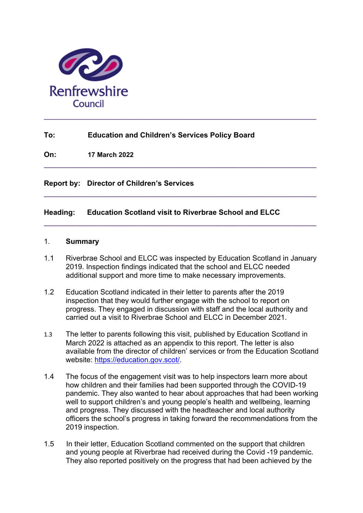

# **To: Education and Children's Services Policy Board**

**On: 17 March 2022**

**Report by: Director of Children's Services**

## **Heading: Education Scotland visit to Riverbrae School and ELCC**

#### 1. **Summary**

1.1 Riverbrae School and ELCC was inspected by Education Scotland in January 2019. Inspection findings indicated that the school and ELCC needed additional support and more time to make necessary improvements.

**\_\_\_\_\_\_\_\_\_\_\_\_\_\_\_\_\_\_\_\_\_\_\_\_\_\_\_\_\_\_\_\_\_\_\_\_\_\_\_\_\_\_\_\_\_\_\_\_\_\_\_\_\_\_\_\_\_\_\_\_\_\_\_\_\_\_\_** 

**\_\_\_\_\_\_\_\_\_\_\_\_\_\_\_\_\_\_\_\_\_\_\_\_\_\_\_\_\_\_\_\_\_\_\_\_\_\_\_\_\_\_\_\_\_\_\_\_\_\_\_\_\_\_\_\_\_\_\_\_\_\_\_\_\_\_\_** 

**\_\_\_\_\_\_\_\_\_\_\_\_\_\_\_\_\_\_\_\_\_\_\_\_\_\_\_\_\_\_\_\_\_\_\_\_\_\_\_\_\_\_\_\_\_\_\_\_\_\_\_\_\_\_\_\_\_\_\_\_\_\_\_\_\_\_\_** 

- 1.2 Education Scotland indicated in their letter to parents after the 2019 inspection that they would further engage with the school to report on progress. They engaged in discussion with staff and the local authority and carried out a visit to Riverbrae School and ELCC in December 2021.
- 1.3 The letter to parents following this visit, published by Education Scotland in March 2022 is attached as an appendix to this report. The letter is also available from the director of children' services or from the Education Scotland website: https://education.gov.scot/.
- 1.4 The focus of the engagement visit was to help inspectors learn more about how children and their families had been supported through the COVID-19 pandemic. They also wanted to hear about approaches that had been working well to support children's and young people's health and wellbeing, learning and progress. They discussed with the headteacher and local authority officers the school's progress in taking forward the recommendations from the 2019 inspection.
- 1.5 In their letter, Education Scotland commented on the support that children and young people at Riverbrae had received during the Covid -19 pandemic. They also reported positively on the progress that had been achieved by the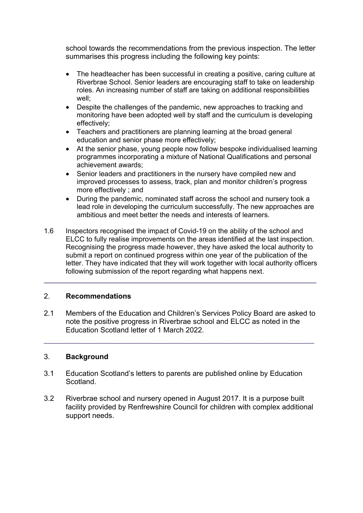school towards the recommendations from the previous inspection. The letter summarises this progress including the following key points:

- The headteacher has been successful in creating a positive, caring culture at Riverbrae School. Senior leaders are encouraging staff to take on leadership roles. An increasing number of staff are taking on additional responsibilities well;
- Despite the challenges of the pandemic, new approaches to tracking and monitoring have been adopted well by staff and the curriculum is developing effectively;
- Teachers and practitioners are planning learning at the broad general education and senior phase more effectively;
- At the senior phase, young people now follow bespoke individualised learning programmes incorporating a mixture of National Qualifications and personal achievement awards;
- Senior leaders and practitioners in the nursery have compiled new and improved processes to assess, track, plan and monitor children's progress more effectively ; and
- During the pandemic, nominated staff across the school and nursery took a lead role in developing the curriculum successfully. The new approaches are ambitious and meet better the needs and interests of learners.
- 1.6 Inspectors recognised the impact of Covid-19 on the ability of the school and ELCC to fully realise improvements on the areas identified at the last inspection. Recognising the progress made however, they have asked the local authority to submit a report on continued progress within one year of the publication of the letter. They have indicated that they will work together with local authority officers following submission of the report regarding what happens next.

**\_\_\_\_\_\_\_\_\_\_\_\_\_\_\_\_\_\_\_\_\_\_\_\_\_\_\_\_\_\_\_\_\_\_\_\_\_\_\_\_\_\_\_\_\_\_\_\_\_\_\_\_\_\_\_\_\_\_\_\_\_\_\_\_\_\_\_** 

## 2. **Recommendations**

2.1 Members of the Education and Children's Services Policy Board are asked to note the positive progress in Riverbrae school and ELCC as noted in the Education Scotland letter of 1 March 2022.

\_\_\_\_\_\_\_\_\_\_\_\_\_\_\_\_\_\_\_\_\_\_\_\_\_\_\_\_\_\_\_\_\_\_\_\_\_\_\_\_\_\_\_\_\_\_\_\_\_\_\_\_\_\_\_\_\_

# 3. **Background**

- 3.1 Education Scotland's letters to parents are published online by Education Scotland.
- 3.2 Riverbrae school and nursery opened in August 2017. It is a purpose built facility provided by Renfrewshire Council for children with complex additional support needs.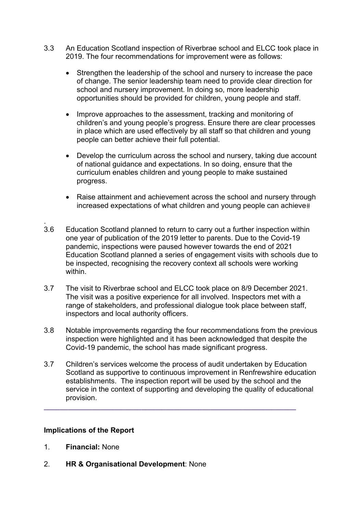- 3.3 An Education Scotland inspection of Riverbrae school and ELCC took place in 2019. The four recommendations for improvement were as follows:
	- Strengthen the leadership of the school and nursery to increase the pace of change. The senior leadership team need to provide clear direction for school and nursery improvement. In doing so, more leadership opportunities should be provided for children, young people and staff.
	- Improve approaches to the assessment, tracking and monitoring of children's and young people's progress. Ensure there are clear processes in place which are used effectively by all staff so that children and young people can better achieve their full potential.
	- Develop the curriculum across the school and nursery, taking due account of national guidance and expectations. In so doing, ensure that the curriculum enables children and young people to make sustained progress.
	- Raise attainment and achievement across the school and nursery through increased expectations of what children and young people can achieve
- . 3.6 Education Scotland planned to return to carry out a further inspection within one year of publication of the 2019 letter to parents. Due to the Covid-19 pandemic, inspections were paused however towards the end of 2021 Education Scotland planned a series of engagement visits with schools due to be inspected, recognising the recovery context all schools were working within.
- 3.7 The visit to Riverbrae school and ELCC took place on 8/9 December 2021. The visit was a positive experience for all involved. Inspectors met with a range of stakeholders, and professional dialogue took place between staff, inspectors and local authority officers.
- 3.8 Notable improvements regarding the four recommendations from the previous inspection were highlighted and it has been acknowledged that despite the Covid-19 pandemic, the school has made significant progress.
- 3.7 Children's services welcome the process of audit undertaken by Education Scotland as supportive to continuous improvement in Renfrewshire education establishments. The inspection report will be used by the school and the service in the context of supporting and developing the quality of educational provision.

**\_\_\_\_\_\_\_\_\_\_\_\_\_\_\_\_\_\_\_\_\_\_\_\_\_\_\_\_\_\_\_\_\_\_\_\_\_\_\_\_\_\_\_\_\_\_\_\_\_\_\_\_\_\_\_\_\_\_\_\_\_\_**

## **Implications of the Report**

- 1. **Financial:** None
- 2. **HR & Organisational Development**: None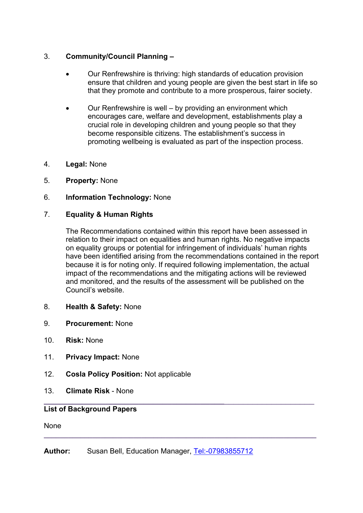## 3. **Community/Council Planning –**

- Our Renfrewshire is thriving: high standards of education provision ensure that children and young people are given the best start in life so that they promote and contribute to a more prosperous, fairer society.
- Our Renfrewshire is well by providing an environment which encourages care, welfare and development, establishments play a crucial role in developing children and young people so that they become responsible citizens. The establishment's success in promoting wellbeing is evaluated as part of the inspection process.
- 4. **Legal:** None
- 5. **Property:** None
- 6. **Information Technology:** None

## 7. **Equality & Human Rights**

The Recommendations contained within this report have been assessed in relation to their impact on equalities and human rights. No negative impacts on equality groups or potential for infringement of individuals' human rights have been identified arising from the recommendations contained in the report because it is for noting only. If required following implementation, the actual impact of the recommendations and the mitigating actions will be reviewed and monitored, and the results of the assessment will be published on the Council's website.

- 8. **Health & Safety:** None
- 9. **Procurement:** None
- 10. **Risk:** None
- 11. **Privacy Impact:** None
- 12. **Cosla Policy Position:** Not applicable
- 13. **Climate Risk** None

## **List of Background Papers**

None

**Author:** Susan Bell, Education Manager, Tel:-07983855712

**\_\_\_\_\_\_\_\_\_\_\_\_\_\_\_\_\_\_\_\_\_\_\_\_\_\_\_\_\_\_\_\_\_\_\_\_\_\_**\_\_\_\_\_\_\_\_\_\_\_\_\_\_\_\_\_\_\_

**\_\_\_\_\_\_\_\_\_\_\_\_\_\_\_\_\_\_\_\_\_\_\_\_\_\_\_\_\_\_\_\_\_\_\_\_\_\_\_\_\_\_\_\_\_\_\_\_\_\_\_\_\_\_\_\_\_\_\_\_\_\_\_\_\_\_\_**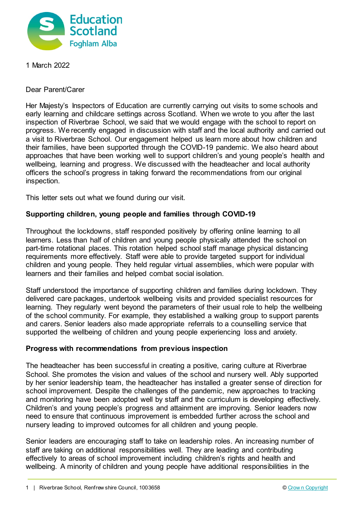

1 March 2022

Dear Parent/Carer

Her Majesty's Inspectors of Education are currently carrying out visits to some schools and early learning and childcare settings across Scotland. When we wrote to you after the last inspection of Riverbrae School, we said that we would engage with the school to report on progress. We recently engaged in discussion with staff and the local authority and carried out a visit to Riverbrae School. Our engagement helped us learn more about how children and their families, have been supported through the COVID-19 pandemic. We also heard about approaches that have been working well to support children's and young people's health and wellbeing, learning and progress. We discussed with the headteacher and local authority officers the school's progress in taking forward the recommendations from our original inspection.

This letter sets out what we found during our visit.

#### **Supporting children, young people and families through COVID-19**

Throughout the lockdowns, staff responded positively by offering online learning to all learners. Less than half of children and young people physically attended the school on part-time rotational places. This rotation helped school staff manage physical distancing requirements more effectively. Staff were able to provide targeted support for individual children and young people. They held regular virtual assemblies, which were popular with learners and their families and helped combat social isolation.

Staff understood the importance of supporting children and families during lockdown. They delivered care packages, undertook wellbeing visits and provided specialist resources for learning. They regularly went beyond the parameters of their usual role to help the wellbeing of the school community. For example, they established a walking group to support parents and carers. Senior leaders also made appropriate referrals to a counselling service that supported the wellbeing of children and young people experiencing loss and anxiety.

#### **Progress with recommendations from previous inspection**

The headteacher has been successful in creating a positive, caring culture at Riverbrae School. She promotes the vision and values of the school and nursery well. Ably supported by her senior leadership team, the headteacher has installed a greater sense of direction for school improvement. Despite the challenges of the pandemic, new approaches to tracking and monitoring have been adopted well by staff and the curriculum is developing effectively. Children's and young people's progress and attainment are improving. Senior leaders now need to ensure that continuous improvement is embedded further across the school and nursery leading to improved outcomes for all children and young people.

Senior leaders are encouraging staff to take on leadership roles. An increasing number of staff are taking on additional responsibilities well. They are leading and contributing effectively to areas of school improvement including children's rights and health and wellbeing. A minority of children and young people have additional responsibilities in the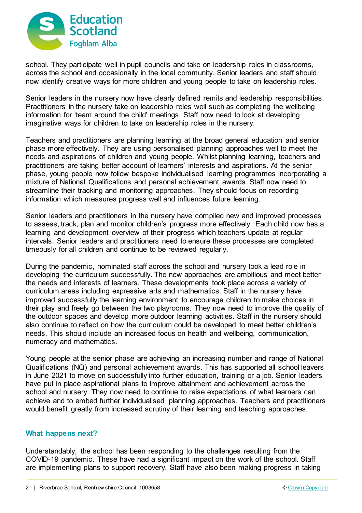

school. They participate well in pupil councils and take on leadership roles in classrooms, across the school and occasionally in the local community. Senior leaders and staff should now identify creative ways for more children and young people to take on leadership roles.

Senior leaders in the nursery now have clearly defined remits and leadership responsibilities. Practitioners in the nursery take on leadership roles well such as completing the wellbeing information for 'team around the child' meetings. Staff now need to look at developing imaginative ways for children to take on leadership roles in the nursery.

Teachers and practitioners are planning learning at the broad general education and senior phase more effectively. They are using personalised planning approaches well to meet the needs and aspirations of children and young people. Whilst planning learning, teachers and practitioners are taking better account of learners' interests and aspirations. At the senior phase, young people now follow bespoke individualised learning programmes incorporating a mixture of National Qualifications and personal achievement awards. Staff now need to streamline their tracking and monitoring approaches. They should focus on recording information which measures progress well and influences future learning.

Senior leaders and practitioners in the nursery have compiled new and improved processes to assess, track, plan and monitor children's progress more effectively. Each child now has a learning and development overview of their progress which teachers update at regular intervals. Senior leaders and practitioners need to ensure these processes are completed timeously for all children and continue to be reviewed regularly.

During the pandemic, nominated staff across the school and nursery took a lead role in developing the curriculum successfully. The new approaches are ambitious and meet better the needs and interests of learners. These developments took place across a variety of curriculum areas including expressive arts and mathematics. Staff in the nursery have improved successfully the learning environment to encourage children to make choices in their play and freely go between the two playrooms. They now need to improve the quality of the outdoor spaces and develop more outdoor learning activities. Staff in the nursery should also continue to reflect on how the curriculum could be developed to meet better children's needs. This should include an increased focus on health and wellbeing, communication, numeracy and mathematics.

Young people at the senior phase are achieving an increasing number and range of National Qualifications (NQ) and personal achievement awards. This has supported all school leavers in June 2021 to move on successfully into further education, training or a job. Senior leaders have put in place aspirational plans to improve attainment and achievement across the school and nursery. They now need to continue to raise expectations of what learners can achieve and to embed further individualised planning approaches. Teachers and practitioners would benefit greatly from increased scrutiny of their learning and teaching approaches.

## **What happens next?**

Understandably, the school has been responding to the challenges resulting from the COVID-19 pandemic. These have had a significant impact on the work of the school. Staff are implementing plans to support recovery. Staff have also been making progress in taking